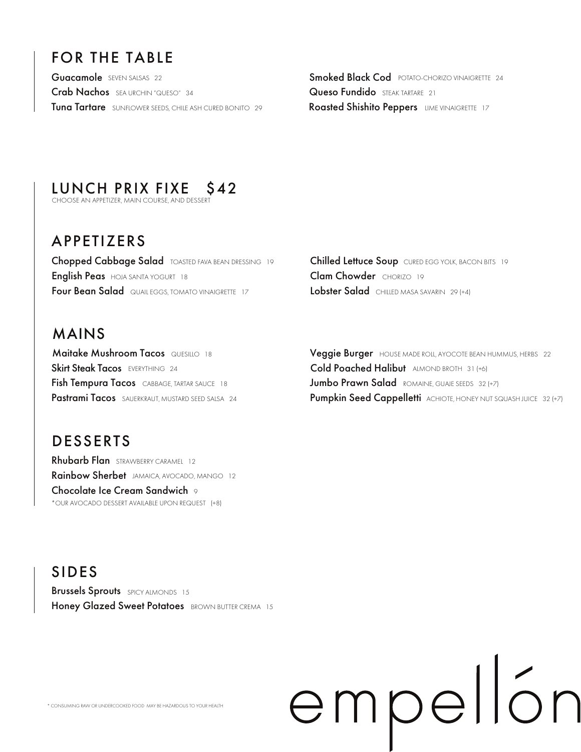# FOR THE TABLE

Guacamole SEVEN SALSAS 22 Crab Nachos SEA URCHIN "QUESO" 34 Tuna Tartare SUNFLOWER SEEDS, CHILE ASH CURED BONITO 29 **Roasted Shishito Peppers** LIME VINAIGRETTE 17

Smoked Black Cod **POTATO-CHORIZO VINAIGRETTE** 24 Queso Fundido STEAK TARTARE 21

# LUNCH PRIX FIXE \$42<br>CHOOSE AN APPETIZER, MAIN COURSE, AND DESSERT

## APPETIZERS

Chopped Cabbage Salad TOASTED FAVA BEAN DRESSING 19 English Peas HOJA SANTA YOGURT 18 **Four Bean Salad** QUAIL EGGS, TOMATO VINAIGRETTE 17

#### MAINS

Fish Tempura Tacos CABBAGE, TARTAR SAUCE 18 **Maitake Mushroom Tacos QUESILLO 18** Skirt Steak Tacos EVERYTHING 24 Pastrami Tacos SAUERKRAUT, MUSTARD SEED SALSA 24

## DESSERTS

Rhubarb Flan STRAWBERRY CARAMEL 12 Rainbow Sherbet JAMAICA, AVOCADO, MANGO 12 \*OUR AVOCADO DESSERT AVAILABLE UPON REQUEST (+8) **Chocolate Ice Cream Sandwich 9** 

Chilled Lettuce Soup CURED EGG YOLK, BACON BITS 19 Clam Chowder CHORIZO 19 Lobster Salad CHILLED MASA SAVARIN 29 (+4)

Veggie Burger HOUSE MADE ROLL, AYOCOTE BEAN HUMMUS, HERBS 22 Pumpkin Seed Cappelletti ACHIOTE, HONEY NUT SQUASH JUICE 32 (+7) Cold Poached Halibut ALMOND BROTH 31 (+6) Jumbo Prawn Salad ROMAINE, GUAJE SEEDS 32 (+7)

empellón

SIDES Brussels Sprouts SPICY ALMONDS 15 Honey Glazed Sweet Potatoes BROWN BUTTER CREMA 15

\* CONSUMING RAW OR UNDERCOOKED FOOD MAY BE HAZARDOUS TO YOUR HEALTH